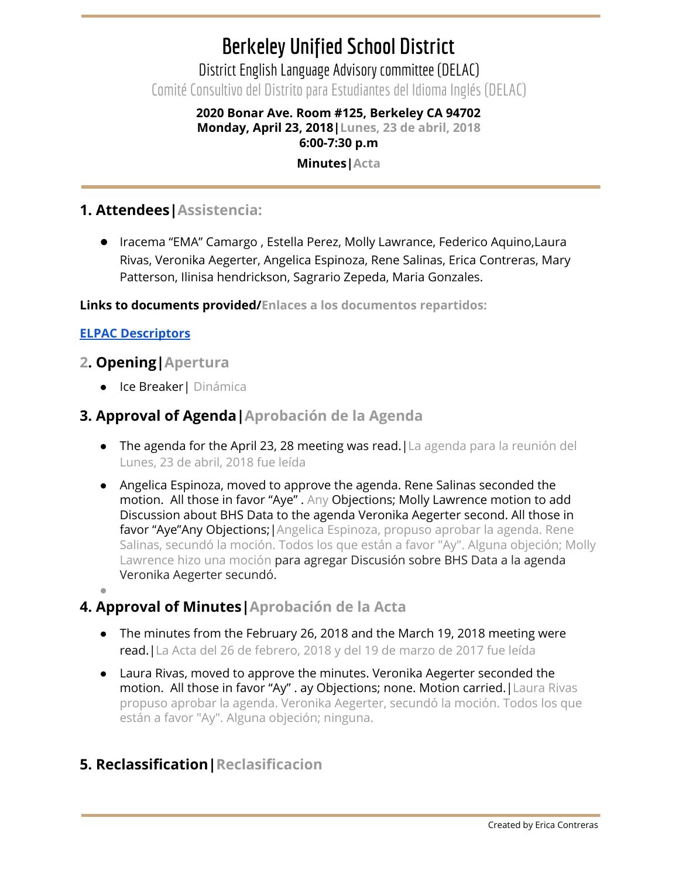# **Berkeley Unified School District**

District English Language Advisory committee (DELAC) Comité Consultivo del Distrito para Estudiantes del Idioma Inglés (DELAC)

### **2020 Bonar Ave. Room #125, Berkeley CA 94702 Monday, April 23, 2018|Lunes, 23 de abril, 2018 6:00-7:30 p.m**

#### **Minutes|Acta**

## **1. Attendees|Assistencia:**

● Iracema "EMA" Camargo , Estella Perez, Molly Lawrance, Federico Aquino,Laura Rivas, Veronika Aegerter, Angelica Espinoza, Rene Salinas, Erica Contreras, Mary Patterson, Ilinisa hendrickson, Sagrario Zepeda, Maria Gonzales.

**Links to documents provided/Enlaces a los documentos repartidos:**

#### **ELPAC [Descriptors](https://drive.google.com/file/d/15AOfg0K1Oo4WtWdhA9j6XtMBajlbMZs6/view?usp=sharing)**

#### **2. Opening|Apertura**

● Ice Breaker| Dinámica

#### **3. Approval of Agenda|Aprobación de la Agenda**

- The agenda for the April 23, 28 meeting was read.|La agenda para la reunión del Lunes, 23 de abril, 2018 fue leída
- Angelica Espinoza, moved to approve the agenda. Rene Salinas seconded the motion. All those in favor "Aye" . Any Objections; Molly Lawrence motion to add Discussion about BHS Data to the agenda Veronika Aegerter second. All those in favor "Aye"Any Objections; | Angelica Espinoza, propuso aprobar la agenda. Rene Salinas, secundó la moción. Todos los que están a favor "Ay". Alguna objeción; Molly Lawrence hizo una moción para agregar Discusión sobre BHS Data a la agenda Veronika Aegerter secundó.
- ●

# **4. Approval of Minutes|Aprobación de la Acta**

- The minutes from the February 26, 2018 and the March 19, 2018 meeting were read.|La Acta del 26 de febrero, 2018 y del 19 de marzo de 2017 fue leída
- **●** Laura Rivas, moved to approve the minutes. Veronika Aegerter seconded the motion. All those in favor "Ay" . ay Objections; none. Motion carried. | Laura Rivas propuso aprobar la agenda. Veronika Aegerter, secundó la moción. Todos los que están a favor "Ay". Alguna objeción; ninguna.

# **5. Reclassification|Reclasificacion**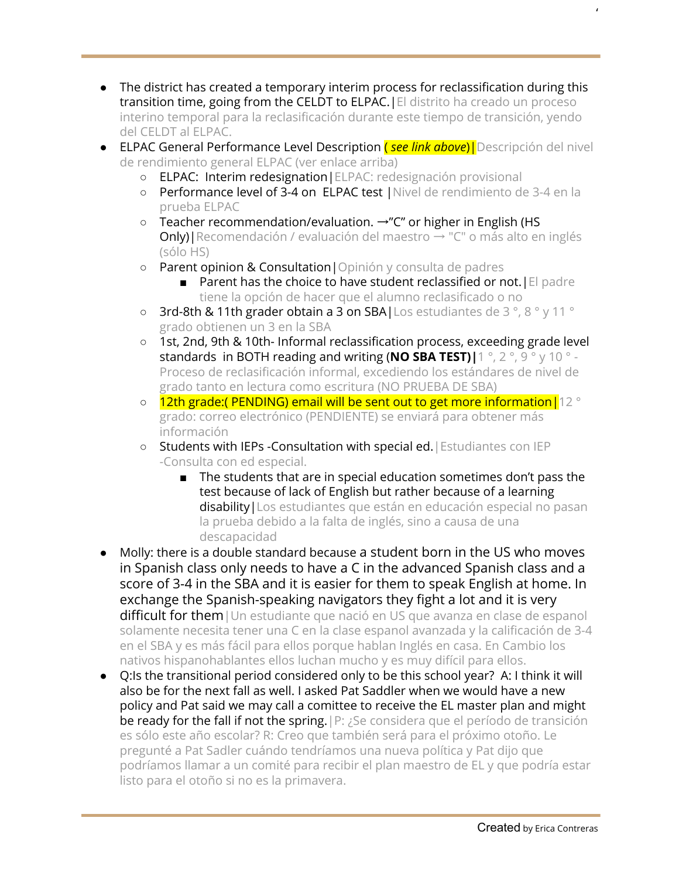- The district has created a temporary interim process for reclassification during this transition time, going from the CELDT to ELPAC.|El distrito ha creado un proceso interino temporal para la reclasificación durante este tiempo de transición, yendo del CELDT al ELPAC.
- ELPAC General Performance Level Description ( *see link above*)|Descripción del nivel de rendimiento general ELPAC (ver enlace arriba)
	- ELPAC: Interim redesignation|ELPAC: redesignación provisional
	- Performance level of 3-4 on ELPAC test |Nivel de rendimiento de 3-4 en la prueba ELPAC
	- Teacher recommendation/evaluation. →"C" or higher in English (HS **Only)** Recomendación / evaluación del maestro → "C" o más alto en inglés (sólo HS)
	- Parent opinion & Consultation|Opinión y consulta de padres
		- Parent has the choice to have student reclassified or not. [El padre tiene la opción de hacer que el alumno reclasificado o no
	- 3rd-8th & 11th grader obtain a 3 on SBA|Los estudiantes de 3 °, 8 ° y 11 ° grado obtienen un 3 en la SBA
	- 1st, 2nd, 9th & 10th- Informal reclassification process, exceeding grade level standards in BOTH reading and writing (**NO SBA TEST)|**1 °, 2 °, 9 ° y 10 ° - Proceso de reclasificación informal, excediendo los estándares de nivel de grado tanto en lectura como escritura (NO PRUEBA DE SBA)
	- 12th grade:(PENDING) email will be sent out to get more information | 12 ° grado: correo electrónico (PENDIENTE) se enviará para obtener más información
	- Students with IEPs -Consultation with special ed.|Estudiantes con IEP -Consulta con ed especial.
		- The students that are in special education sometimes don't pass the test because of lack of English but rather because of a learning disability | Los estudiantes que están en educación especial no pasan la prueba debido a la falta de inglés, sino a causa de una descapacidad
- Molly: there is a double standard because a student born in the US who moves in Spanish class only needs to have a C in the advanced Spanish class and a score of 3-4 in the SBA and it is easier for them to speak English at home. In exchange the Spanish-speaking navigators they fight a lot and it is very difficult for them | Un estudiante que nació en US que avanza en clase de espanol solamente necesita tener una C en la clase espanol avanzada y la calificación de 3-4 en el SBA y es más fácil para ellos porque hablan Inglés en casa. En Cambio los nativos hispanohablantes ellos luchan mucho y es muy difícil para ellos.
- Q:Is the transitional period considered only to be this school year? A: I think it will also be for the next fall as well. I asked Pat Saddler when we would have a new policy and Pat said we may call a comittee to receive the EL master plan and might be ready for the fall if not the spring.|P: ¿Se considera que el período de transición es sólo este año escolar? R: Creo que también será para el próximo otoño. Le pregunté a Pat Sadler cuándo tendríamos una nueva política y Pat dijo que podríamos llamar a un comité para recibir el plan maestro de EL y que podría estar listo para el otoño si no es la primavera.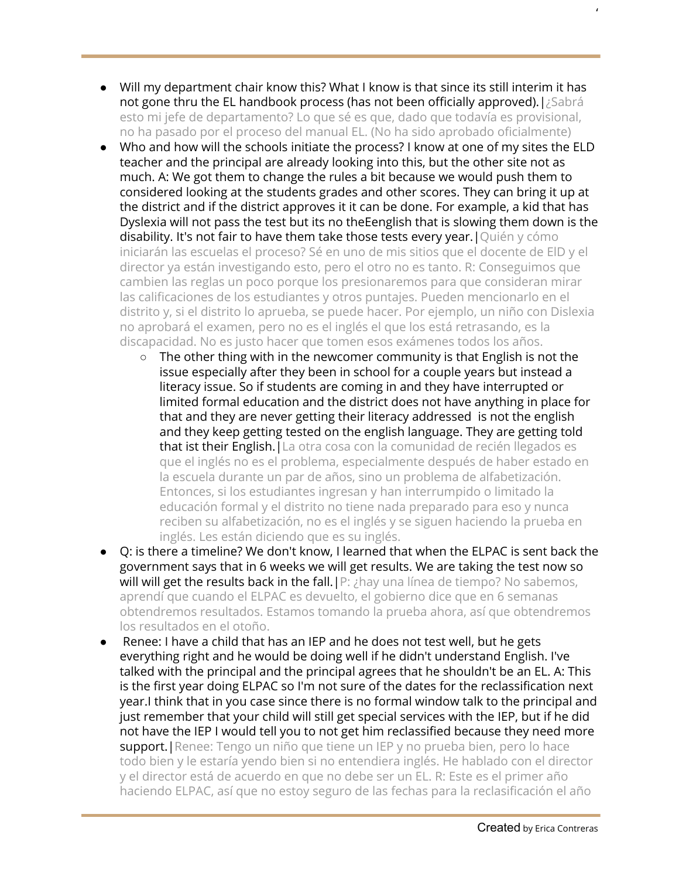- Will my department chair know this? What I know is that since its still interim it has not gone thru the EL handbook process (has not been officially approved). [¿Sabrá esto mi jefe de departamento? Lo que sé es que, dado que todavía es provisional, no ha pasado por el proceso del manual EL. (No ha sido aprobado oficialmente)
- Who and how will the schools initiate the process? I know at one of my sites the ELD teacher and the principal are already looking into this, but the other site not as much. A: We got them to change the rules a bit because we would push them to considered looking at the students grades and other scores. They can bring it up at the district and if the district approves it it can be done. For example, a kid that has Dyslexia will not pass the test but its no theEenglish that is slowing them down is the disability. It's not fair to have them take those tests every year. | Quién y cómo iniciarán las escuelas el proceso? Sé en uno de mis sitios que el docente de ElD y el director ya están investigando esto, pero el otro no es tanto. R: Conseguimos que cambien las reglas un poco porque los presionaremos para que consideran mirar las calificaciones de los estudiantes y otros puntajes. Pueden mencionarlo en el distrito y, si el distrito lo aprueba, se puede hacer. Por ejemplo, un niño con Dislexia no aprobará el examen, pero no es el inglés el que los está retrasando, es la discapacidad. No es justo hacer que tomen esos exámenes todos los años.
	- $\circ$  The other thing with in the newcomer community is that English is not the issue especially after they been in school for a couple years but instead a literacy issue. So if students are coming in and they have interrupted or limited formal education and the district does not have anything in place for that and they are never getting their literacy addressed is not the english and they keep getting tested on the english language. They are getting told that ist their English. La otra cosa con la comunidad de recién llegados es que el inglés no es el problema, especialmente después de haber estado en la escuela durante un par de años, sino un problema de alfabetización. Entonces, si los estudiantes ingresan y han interrumpido o limitado la educación formal y el distrito no tiene nada preparado para eso y nunca reciben su alfabetización, no es el inglés y se siguen haciendo la prueba en inglés. Les están diciendo que es su inglés.
- Q: is there a timeline? We don't know, I learned that when the ELPAC is sent back the government says that in 6 weeks we will get results. We are taking the test now so will will get the results back in the fall.  $|P: \nmid P$  and linea de tiempo? No sabemos, aprendí que cuando el ELPAC es devuelto, el gobierno dice que en 6 semanas obtendremos resultados. Estamos tomando la prueba ahora, así que obtendremos los resultados en el otoño.
- Renee: I have a child that has an IEP and he does not test well, but he gets everything right and he would be doing well if he didn't understand English. I've talked with the principal and the principal agrees that he shouldn't be an EL. A: This is the first year doing ELPAC so I'm not sure of the dates for the reclassification next year.I think that in you case since there is no formal window talk to the principal and just remember that your child will still get special services with the IEP, but if he did not have the IEP I would tell you to not get him reclassified because they need more support. | Renee: Tengo un niño que tiene un IEP y no prueba bien, pero lo hace todo bien y le estaría yendo bien si no entendiera inglés. He hablado con el director y el director está de acuerdo en que no debe ser un EL. R: Este es el primer año haciendo ELPAC, así que no estoy seguro de las fechas para la reclasificación el año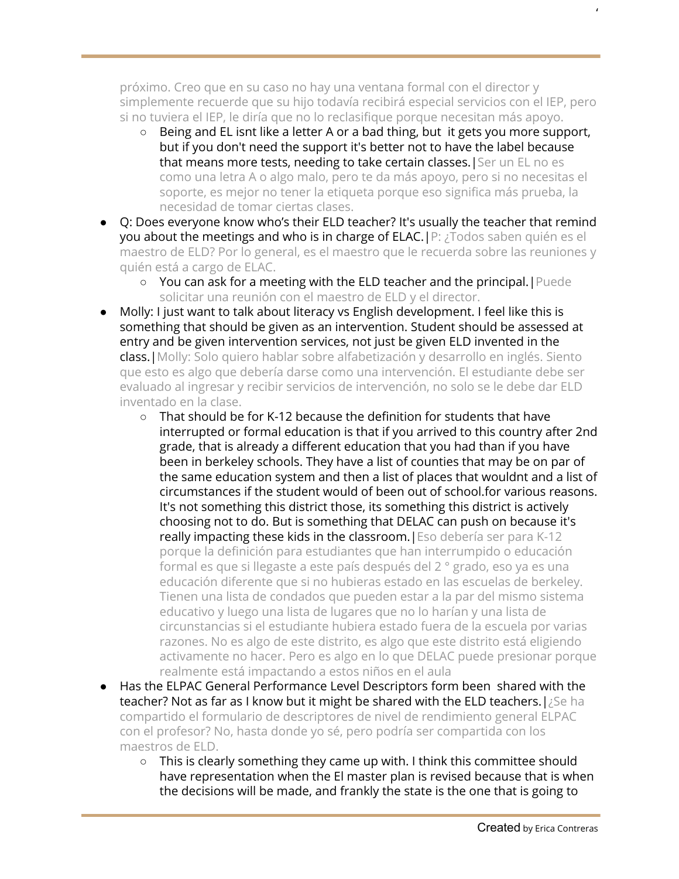próximo. Creo que en su caso no hay una ventana formal con el director y simplemente recuerde que su hijo todavía recibirá especial servicios con el IEP, pero si no tuviera el IEP, le diría que no lo reclasifique porque necesitan más apoyo.

- Being and EL isnt like a letter A or a bad thing, but it gets you more support, but if you don't need the support it's better not to have the label because that means more tests, needing to take certain classes. | Ser un EL no es como una letra A o algo malo, pero te da más apoyo, pero si no necesitas el soporte, es mejor no tener la etiqueta porque eso significa más prueba, la necesidad de tomar ciertas clases.
- Q: Does everyone know who's their ELD teacher? It's usually the teacher that remind you about the meetings and who is in charge of ELAC.|P: ¿Todos saben quién es el maestro de ELD? Por lo general, es el maestro que le recuerda sobre las reuniones y quién está a cargo de ELAC.
	- You can ask for a meeting with the ELD teacher and the principal.|Puede solicitar una reunión con el maestro de ELD y el director.
- Molly: I just want to talk about literacy vs English development. I feel like this is something that should be given as an intervention. Student should be assessed at entry and be given intervention services, not just be given ELD invented in the class.|Molly: Solo quiero hablar sobre alfabetización y desarrollo en inglés. Siento que esto es algo que debería darse como una intervención. El estudiante debe ser evaluado al ingresar y recibir servicios de intervención, no solo se le debe dar ELD inventado en la clase.
	- That should be for K-12 because the definition for students that have interrupted or formal education is that if you arrived to this country after 2nd grade, that is already a different education that you had than if you have been in berkeley schools. They have a list of counties that may be on par of the same education system and then a list of places that wouldnt and a list of circumstances if the student would of been out of school.for various reasons. It's not something this district those, its something this district is actively choosing not to do. But is something that DELAC can push on because it's really impacting these kids in the classroom.|Eso debería ser para K-12 porque la definición para estudiantes que han interrumpido o educación formal es que si llegaste a este país después del 2 ° grado, eso ya es una educación diferente que si no hubieras estado en las escuelas de berkeley. Tienen una lista de condados que pueden estar a la par del mismo sistema educativo y luego una lista de lugares que no lo harían y una lista de circunstancias si el estudiante hubiera estado fuera de la escuela por varias razones. No es algo de este distrito, es algo que este distrito está eligiendo activamente no hacer. Pero es algo en lo que DELAC puede presionar porque realmente está impactando a estos niños en el aula
- Has the ELPAC General Performance Level Descriptors form been shared with the teacher? Not as far as I know but it might be shared with the ELD teachers. [¿Se ha compartido el formulario de descriptores de nivel de rendimiento general ELPAC con el profesor? No, hasta donde yo sé, pero podría ser compartida con los maestros de ELD.
	- This is clearly something they came up with. I think this committee should have representation when the El master plan is revised because that is when the decisions will be made, and frankly the state is the one that is going to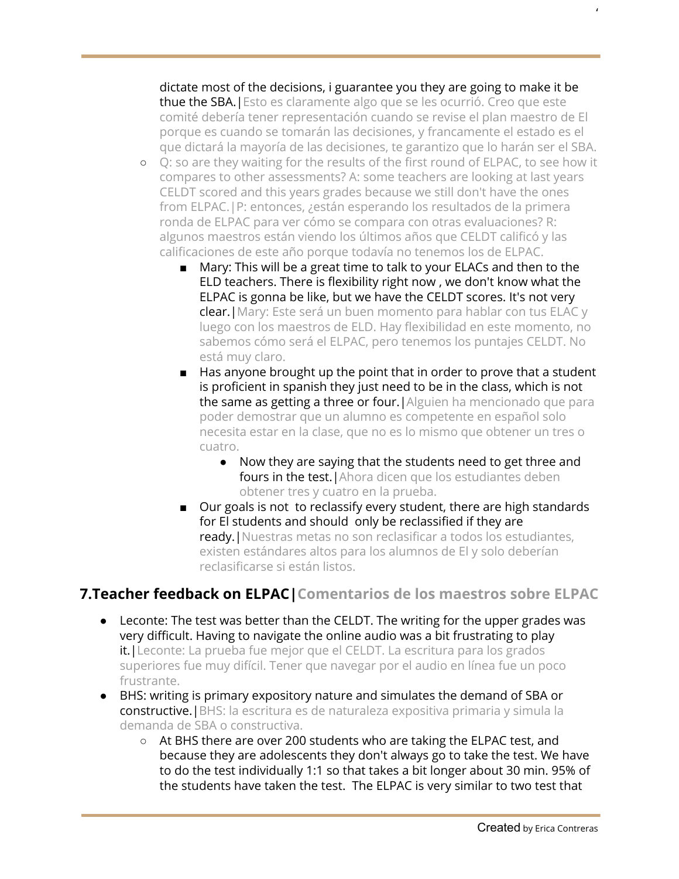dictate most of the decisions, i guarantee you they are going to make it be thue the SBA.|Esto es claramente algo que se les ocurrió. Creo que este comité debería tener representación cuando se revise el plan maestro de El porque es cuando se tomarán las decisiones, y francamente el estado es el que dictará la mayoría de las decisiones, te garantizo que lo harán ser el SBA.

- Q: so are they waiting for the results of the first round of ELPAC, to see how it compares to other assessments? A: some teachers are looking at last years CELDT scored and this years grades because we still don't have the ones from ELPAC.|P: entonces, ¿están esperando los resultados de la primera ronda de ELPAC para ver cómo se compara con otras evaluaciones? R: algunos maestros están viendo los últimos años que CELDT calificó y las calificaciones de este año porque todavía no tenemos los de ELPAC.
	- Mary: This will be a great time to talk to your ELACs and then to the ELD teachers. There is flexibility right now , we don't know what the ELPAC is gonna be like, but we have the CELDT scores. It's not very clear.|Mary: Este será un buen momento para hablar con tus ELAC y luego con los maestros de ELD. Hay flexibilidad en este momento, no sabemos cómo será el ELPAC, pero tenemos los puntajes CELDT. No está muy claro.
	- Has anyone brought up the point that in order to prove that a student is proficient in spanish they just need to be in the class, which is not the same as getting a three or four.|Alguien ha mencionado que para poder demostrar que un alumno es competente en español solo necesita estar en la clase, que no es lo mismo que obtener un tres o cuatro.
		- Now they are saying that the students need to get three and fours in the test. Ahora dicen que los estudiantes deben obtener tres y cuatro en la prueba.
	- Our goals is not to reclassify every student, there are high standards for El students and should only be reclassified if they are ready.|Nuestras metas no son reclasificar a todos los estudiantes, existen estándares altos para los alumnos de El y solo deberían reclasificarse si están listos.

# **7.Teacher feedback on ELPAC|Comentarios de los maestros sobre ELPAC**

- Leconte: The test was better than the CELDT. The writing for the upper grades was very difficult. Having to navigate the online audio was a bit frustrating to play it.|Leconte: La prueba fue mejor que el CELDT. La escritura para los grados superiores fue muy difícil. Tener que navegar por el audio en línea fue un poco frustrante.
- BHS: writing is primary expository nature and simulates the demand of SBA or constructive.|BHS: la escritura es de naturaleza expositiva primaria y simula la demanda de SBA o constructiva.
	- At BHS there are over 200 students who are taking the ELPAC test, and because they are adolescents they don't always go to take the test. We have to do the test individually 1:1 so that takes a bit longer about 30 min. 95% of the students have taken the test. The ELPAC is very similar to two test that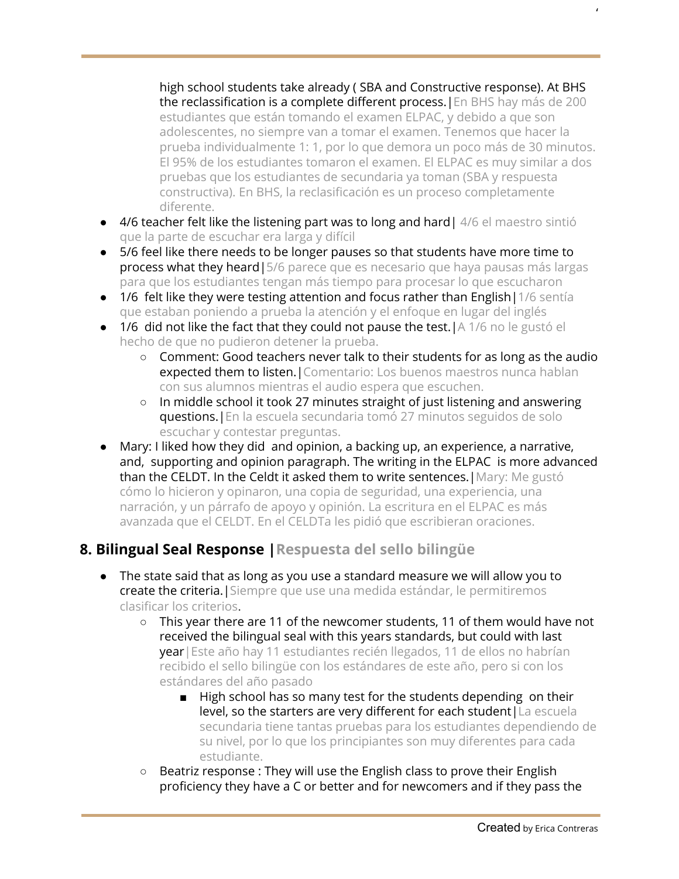high school students take already ( SBA and Constructive response). At BHS the reclassification is a complete different process.|En BHS hay más de 200 estudiantes que están tomando el examen ELPAC, y debido a que son adolescentes, no siempre van a tomar el examen. Tenemos que hacer la prueba individualmente 1: 1, por lo que demora un poco más de 30 minutos. El 95% de los estudiantes tomaron el examen. El ELPAC es muy similar a dos pruebas que los estudiantes de secundaria ya toman (SBA y respuesta constructiva). En BHS, la reclasificación es un proceso completamente diferente.

- 4/6 teacher felt like the listening part was to long and hard | 4/6 el maestro sintió que la parte de escuchar era larga y difícil
- 5/6 feel like there needs to be longer pauses so that students have more time to process what they heard | 5/6 parece que es necesario que haya pausas más largas para que los estudiantes tengan más tiempo para procesar lo que escucharon
- $\bullet$  1/6 felt like they were testing attention and focus rather than English | 1/6 sentia que estaban poniendo a prueba la atención y el enfoque en lugar del inglés
- $\bullet$  1/6 did not like the fact that they could not pause the test. | A 1/6 no le gustó el hecho de que no pudieron detener la prueba.
	- Comment: Good teachers never talk to their students for as long as the audio expected them to listen. | Comentario: Los buenos maestros nunca hablan con sus alumnos mientras el audio espera que escuchen.
	- In middle school it took 27 minutes straight of just listening and answering questions.|En la escuela secundaria tomó 27 minutos seguidos de solo escuchar y contestar preguntas.
- Mary: I liked how they did and opinion, a backing up, an experience, a narrative, and, supporting and opinion paragraph. The writing in the ELPAC is more advanced than the CELDT. In the Celdt it asked them to write sentences.|Mary: Me gustó cómo lo hicieron y opinaron, una copia de seguridad, una experiencia, una narración, y un párrafo de apoyo y opinión. La escritura en el ELPAC es más avanzada que el CELDT. En el CELDTa les pidió que escribieran oraciones.

# **8. Bilingual Seal Response |Respuesta del sello bilingüe**

- The state said that as long as you use a standard measure we will allow you to create the criteria. Siempre que use una medida estándar, le permitiremos clasificar los criterios.
	- This year there are 11 of the newcomer students, 11 of them would have not received the bilingual seal with this years standards, but could with last year|Este año hay 11 estudiantes recién llegados, 11 de ellos no habrían recibido el sello bilingüe con los estándares de este año, pero si con los estándares del año pasado
		- High school has so many test for the students depending on their level, so the starters are very different for each student|La escuela secundaria tiene tantas pruebas para los estudiantes dependiendo de su nivel, por lo que los principiantes son muy diferentes para cada estudiante.
	- Beatriz response : They will use the English class to prove their English proficiency they have a C or better and for newcomers and if they pass the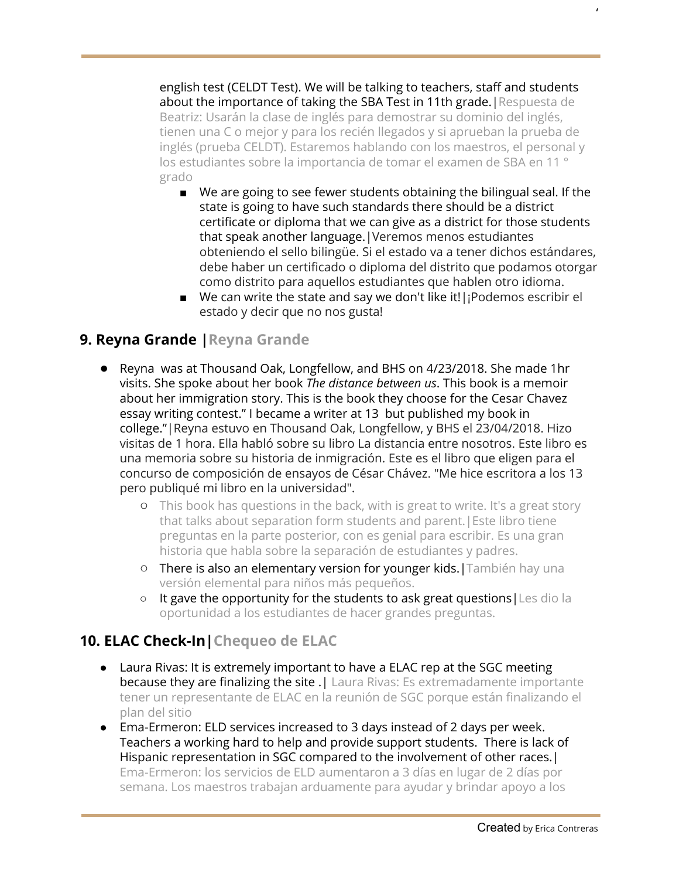english test (CELDT Test). We will be talking to teachers, staff and students about the importance of taking the SBA Test in 11th grade.|Respuesta de Beatriz: Usarán la clase de inglés para demostrar su dominio del inglés, tienen una C o mejor y para los recién llegados y si aprueban la prueba de inglés (prueba CELDT). Estaremos hablando con los maestros, el personal y los estudiantes sobre la importancia de tomar el examen de SBA en 11 ° grado

- We are going to see fewer students obtaining the bilingual seal. If the state is going to have such standards there should be a district certificate or diploma that we can give as a district for those students that speak another language.|Veremos menos estudiantes obteniendo el sello bilingüe. Si el estado va a tener dichos estándares, debe haber un certificado o diploma del distrito que podamos otorgar como distrito para aquellos estudiantes que hablen otro idioma.
- We can write the state and say we don't like it!|¡Podemos escribir el estado y decir que no nos gusta!

## **9. Reyna Grande |Reyna Grande**

- **●** Reyna was at Thousand Oak, Longfellow, and BHS on 4/23/2018. She made 1hr visits. She spoke about her book *The distance between us*. This book is a memoir about her immigration story. This is the book they choose for the Cesar Chavez essay writing contest." I became a writer at 13 but published my book in college."|Reyna estuvo en Thousand Oak, Longfellow, y BHS el 23/04/2018. Hizo visitas de 1 hora. Ella habló sobre su libro La distancia entre nosotros. Este libro es una memoria sobre su historia de inmigración. Este es el libro que eligen para el concurso de composición de ensayos de César Chávez. "Me hice escritora a los 13 pero publiqué mi libro en la universidad".
	- **○** This book has questions in the back, with is great to write. It's a great story that talks about separation form students and parent.|Este libro tiene preguntas en la parte posterior, con es genial para escribir. Es una gran historia que habla sobre la separación de estudiantes y padres.
	- **○** There is also an elementary version for younger kids.|También hay una versión elemental para niños más pequeños.
	- It gave the opportunity for the students to ask great questions|Les dio la oportunidad a los estudiantes de hacer grandes preguntas.

### **10. ELAC Check-In|Chequeo de ELAC**

- Laura Rivas: It is extremely important to have a ELAC rep at the SGC meeting because they are finalizing the site . | Laura Rivas: Es extremadamente importante tener un representante de ELAC en la reunión de SGC porque están finalizando el plan del sitio
- Ema-Ermeron: ELD services increased to 3 days instead of 2 days per week. Teachers a working hard to help and provide support students. There is lack of Hispanic representation in SGC compared to the involvement of other races.| Ema-Ermeron: los servicios de ELD aumentaron a 3 días en lugar de 2 días por semana. Los maestros trabajan arduamente para ayudar y brindar apoyo a los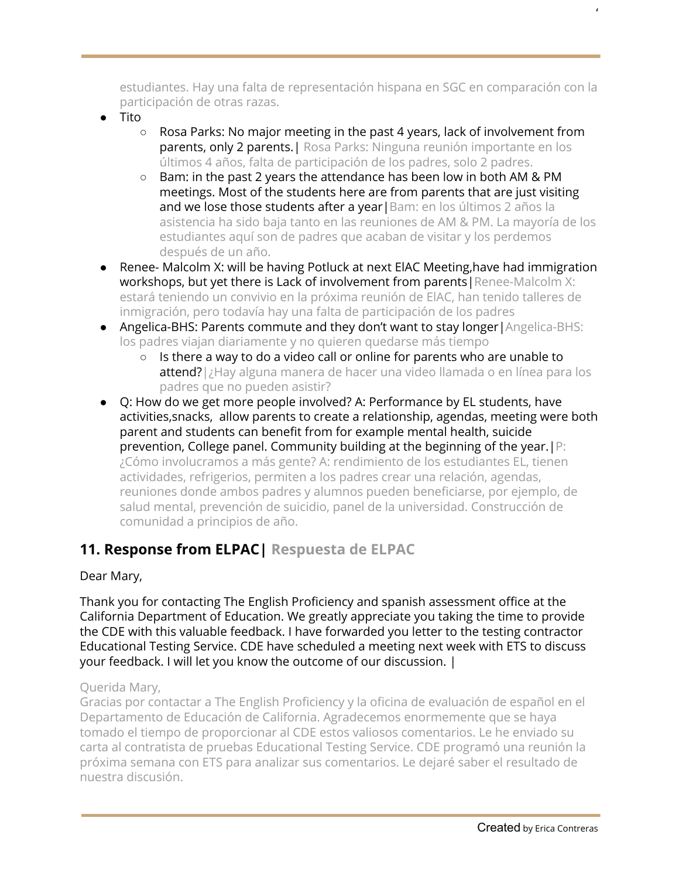estudiantes. Hay una falta de representación hispana en SGC en comparación con la participación de otras razas.

- Tito
	- Rosa Parks: No major meeting in the past 4 years, lack of involvement from parents, only 2 parents. | Rosa Parks: Ninguna reunión importante en los últimos 4 años, falta de participación de los padres, solo 2 padres.
	- Bam: in the past 2 years the attendance has been low in both AM & PM meetings. Most of the students here are from parents that are just visiting and we lose those students after a year | Bam: en los últimos 2 años la asistencia ha sido baja tanto en las reuniones de AM & PM. La mayoría de los estudiantes aquí son de padres que acaban de visitar y los perdemos después de un año.
- Renee- Malcolm X: will be having Potluck at next EIAC Meeting,have had immigration workshops, but yet there is Lack of involvement from parents | Renee-Malcolm X: estará teniendo un convivio en la próxima reunión de ElAC, han tenido talleres de inmigración, pero todavía hay una falta de participación de los padres
- Angelica-BHS: Parents commute and they don't want to stay longer|Angelica-BHS: los padres viajan diariamente y no quieren quedarse más tiempo
	- $\circ$  Is there a way to do a video call or online for parents who are unable to attend?|¿Hay alguna manera de hacer una video llamada o en línea para los padres que no pueden asistir?
- Q: How do we get more people involved? A: Performance by EL students, have activities,snacks, allow parents to create a relationship, agendas, meeting were both parent and students can benefit from for example mental health, suicide prevention, College panel. Community building at the beginning of the year.|P: ¿Cómo involucramos a más gente? A: rendimiento de los estudiantes EL, tienen actividades, refrigerios, permiten a los padres crear una relación, agendas, reuniones donde ambos padres y alumnos pueden beneficiarse, por ejemplo, de salud mental, prevención de suicidio, panel de la universidad. Construcción de comunidad a principios de año.

# **11. Response from ELPAC| Respuesta de ELPAC**

#### Dear Mary,

Thank you for contacting The English Proficiency and spanish assessment office at the California Department of Education. We greatly appreciate you taking the time to provide the CDE with this valuable feedback. I have forwarded you letter to the testing contractor Educational Testing Service. CDE have scheduled a meeting next week with ETS to discuss your feedback. I will let you know the outcome of our discussion. |

#### Querida Mary,

Gracias por contactar a The English Proficiency y la oficina de evaluación de español en el Departamento de Educación de California. Agradecemos enormemente que se haya tomado el tiempo de proporcionar al CDE estos valiosos comentarios. Le he enviado su carta al contratista de pruebas Educational Testing Service. CDE programó una reunión la próxima semana con ETS para analizar sus comentarios. Le dejaré saber el resultado de nuestra discusión.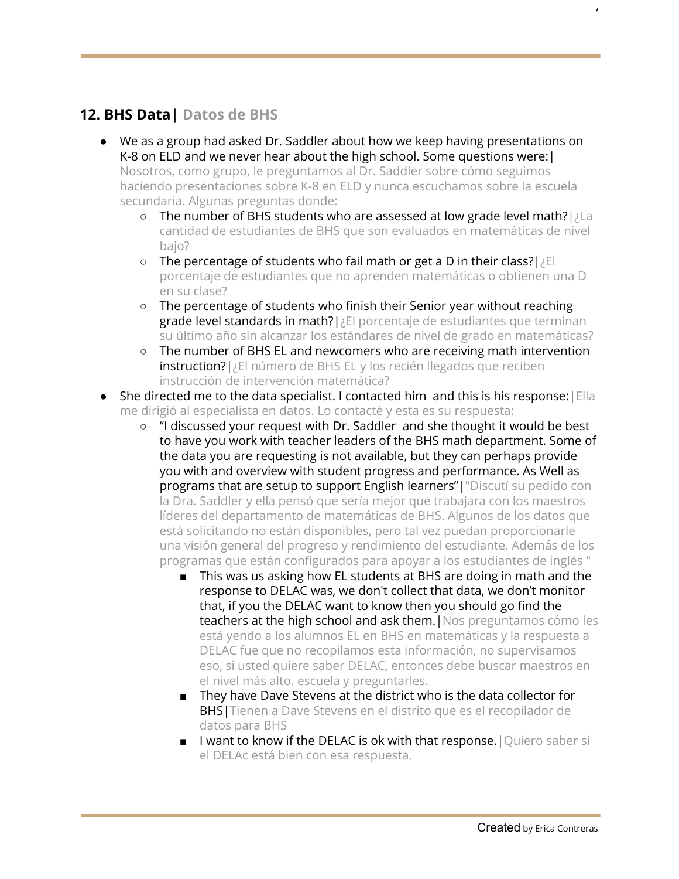# **12. BHS Data| Datos de BHS**

- We as a group had asked Dr. Saddler about how we keep having presentations on K-8 on ELD and we never hear about the high school. Some questions were:| Nosotros, como grupo, le preguntamos al Dr. Saddler sobre cómo seguimos haciendo presentaciones sobre K-8 en ELD y nunca escuchamos sobre la escuela secundaria. Algunas preguntas donde:
	- o The number of BHS students who are assessed at low grade level math?|¿La cantidad de estudiantes de BHS que son evaluados en matemáticas de nivel baio?
	- The percentage of students who fail math or get a D in their class?|¿El porcentaje de estudiantes que no aprenden matemáticas o obtienen una D en su clase?
	- The percentage of students who finish their Senior year without reaching grade level standards in math?|¿El porcentaje de estudiantes que terminan su último año sin alcanzar los estándares de nivel de grado en matemáticas?
	- The number of BHS EL and newcomers who are receiving math intervention instruction?|¿El número de BHS EL y los recién llegados que reciben instrucción de intervención matemática?
- She directed me to the data specialist. I contacted him and this is his response: Ella me dirigió al especialista en datos. Lo contacté y esta es su respuesta:
	- "I discussed your request with Dr. Saddler and she thought it would be best to have you work with teacher leaders of the BHS math department. Some of the data you are requesting is not available, but they can perhaps provide you with and overview with student progress and performance. As Well as programs that are setup to support English learners"|"Discutí su pedido con la Dra. Saddler y ella pensó que sería mejor que trabajara con los maestros líderes del departamento de matemáticas de BHS. Algunos de los datos que está solicitando no están disponibles, pero tal vez puedan proporcionarle una visión general del progreso y rendimiento del estudiante. Además de los programas que están configurados para apoyar a los estudiantes de inglés "
		- This was us asking how EL students at BHS are doing in math and the response to DELAC was, we don't collect that data, we don't monitor that, if you the DELAC want to know then you should go find the teachers at the high school and ask them. | Nos preguntamos cómo les está yendo a los alumnos EL en BHS en matemáticas y la respuesta a DELAC fue que no recopilamos esta información, no supervisamos eso, si usted quiere saber DELAC, entonces debe buscar maestros en el nivel más alto. escuela y preguntarles.
		- They have Dave Stevens at the district who is the data collector for BHS|Tienen a Dave Stevens en el distrito que es el recopilador de datos para BHS
		- I want to know if the DELAC is ok with that response. | Quiero saber si el DELAc está bien con esa respuesta.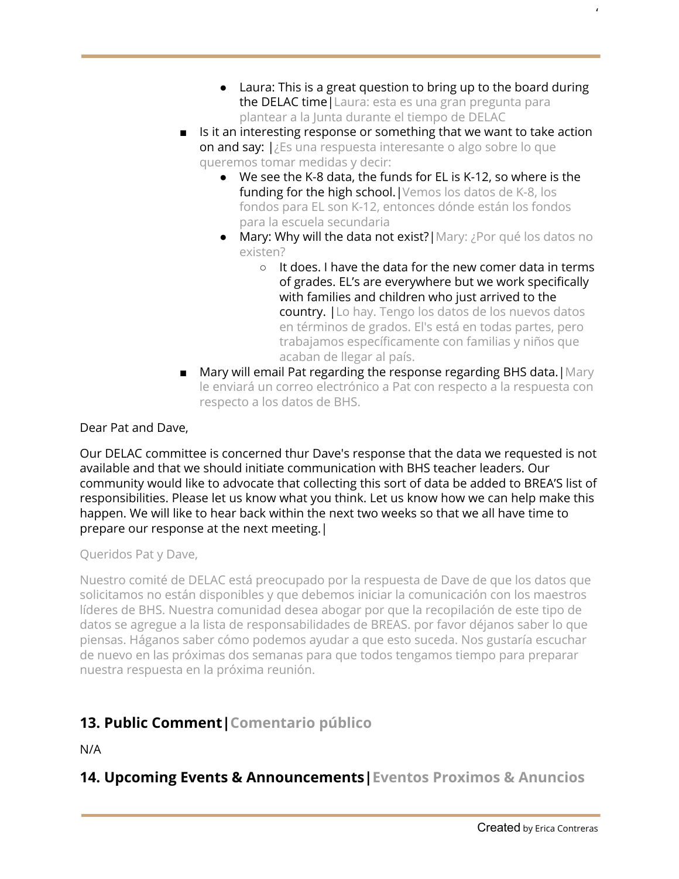● Laura: This is a great question to bring up to the board during the DELAC time | Laura: esta es una gran pregunta para plantear a la Junta durante el tiempo de DELAC

'

- Is it an interesting response or something that we want to take action on and say: |¿Es una respuesta interesante o algo sobre lo que queremos tomar medidas y decir:
	- We see the K-8 data, the funds for EL is K-12, so where is the funding for the high school. | Vemos los datos de K-8, los fondos para EL son K-12, entonces dónde están los fondos para la escuela secundaria
	- Mary: Why will the data not exist?|Mary: ¿Por qué los datos no existen?
		- $\circ$  It does. I have the data for the new comer data in terms of grades. EL's are everywhere but we work specifically with families and children who just arrived to the country. |Lo hay. Tengo los datos de los nuevos datos en términos de grados. El's está en todas partes, pero trabajamos específicamente con familias y niños que acaban de llegar al país.
- Mary will email Pat regarding the response regarding BHS data. Mary le enviará un correo electrónico a Pat con respecto a la respuesta con respecto a los datos de BHS.

Dear Pat and Dave,

Our DELAC committee is concerned thur Dave's response that the data we requested is not available and that we should initiate communication with BHS teacher leaders. Our community would like to advocate that collecting this sort of data be added to BREA'S list of responsibilities. Please let us know what you think. Let us know how we can help make this happen. We will like to hear back within the next two weeks so that we all have time to prepare our response at the next meeting.|

Queridos Pat y Dave,

Nuestro comité de DELAC está preocupado por la respuesta de Dave de que los datos que solicitamos no están disponibles y que debemos iniciar la comunicación con los maestros líderes de BHS. Nuestra comunidad desea abogar por que la recopilación de este tipo de datos se agregue a la lista de responsabilidades de BREAS. por favor déjanos saber lo que piensas. Háganos saber cómo podemos ayudar a que esto suceda. Nos gustaría escuchar de nuevo en las próximas dos semanas para que todos tengamos tiempo para preparar nuestra respuesta en la próxima reunión.

# **13. Public Comment|Comentario público**

N/A

# **14. Upcoming Events & Announcements|Eventos Proximos & Anuncios**